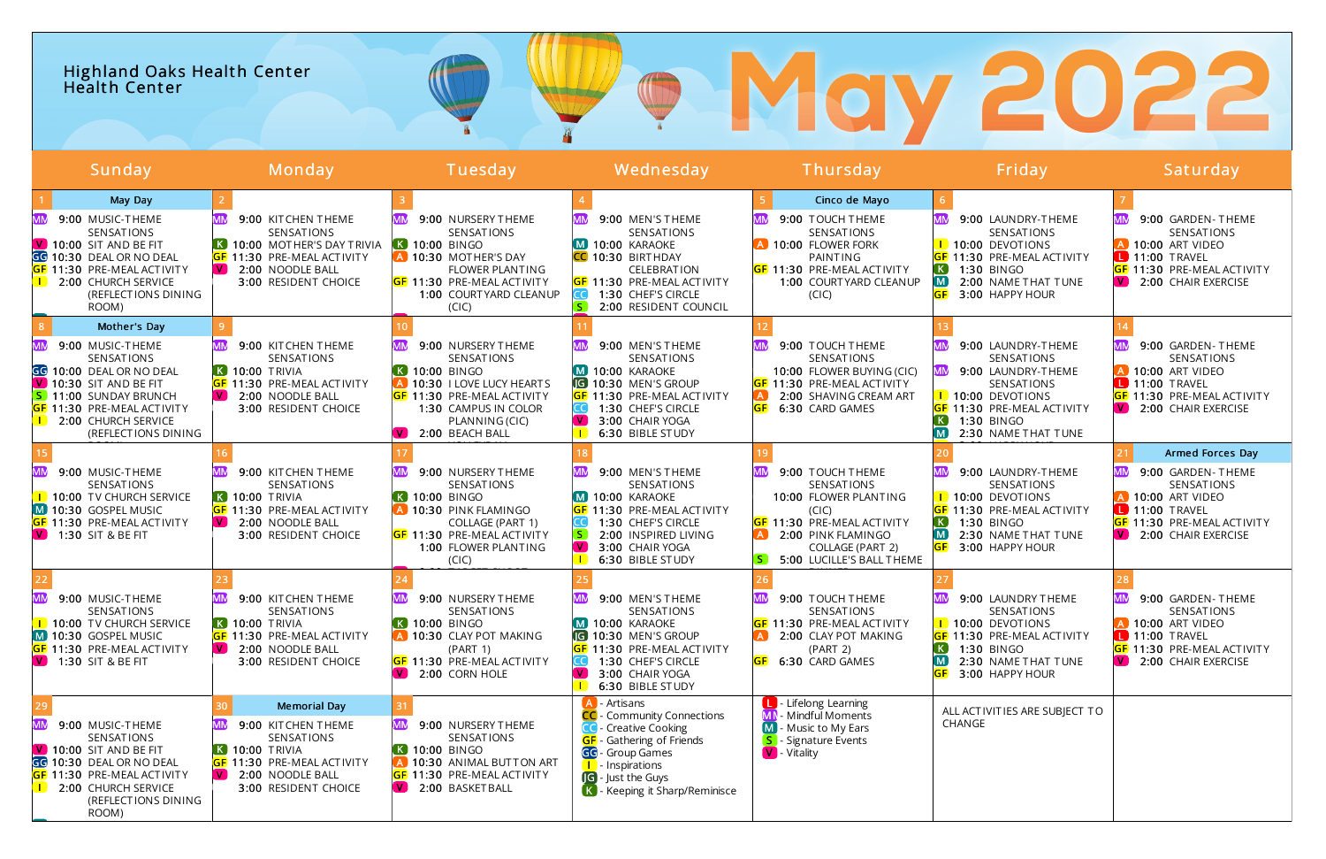# Highland Oaks Health Center O Health Center Sunday Monday Tuesday Wednesday Thursday Friday Saturday

|           | May Day                                                                                                                                                                                                   |                                                                                                                                                                                  |                                                                                                                                                                                    |                                                                                                                                                                                                                         | Cinco de Mayo                                                                                                                                                                       |                                                                                                                                                                                                   |                                                                                                                                                                     |
|-----------|-----------------------------------------------------------------------------------------------------------------------------------------------------------------------------------------------------------|----------------------------------------------------------------------------------------------------------------------------------------------------------------------------------|------------------------------------------------------------------------------------------------------------------------------------------------------------------------------------|-------------------------------------------------------------------------------------------------------------------------------------------------------------------------------------------------------------------------|-------------------------------------------------------------------------------------------------------------------------------------------------------------------------------------|---------------------------------------------------------------------------------------------------------------------------------------------------------------------------------------------------|---------------------------------------------------------------------------------------------------------------------------------------------------------------------|
|           | 9:00 MUSIC-THEME<br>SENSATIONS<br>$\sqrt{ }$ 10:00 SIT AND BE FIT<br>GG 10:30 DEAL OR NO DEAL<br><b>GF</b> 11:30 PRE-MEAL ACTIVITY<br>2:00 CHURCH SERVICE<br>(REFLECTIONS DINING<br>ROOM)                 | 9:00 KITCHEN THEME<br>SENSATIONS<br>K 10:00 MOTHER'S DAY TRIVIA<br><b>GF 11:30 PRE-MEAL ACTIVITY</b><br>$\mathbf{v}$<br>2:00 NOODLE BALL<br>3:00 RESIDENT CHOICE                 | 9:00 NURSERY THEME<br>SENSATIONS<br><b>K 10:00 BINGO</b><br>A 10:30 MOTHER'S DAY<br><b>FLOWER PLANTING</b><br><b>GF 11:30 PRE-MEAL ACTIVITY</b><br>1:00 COURTYARD CLEANUP<br>(CIC) | 9:00 MEN'S THEME<br>SENSATIONS<br>M 10:00 KARAOKE<br>CC 10:30 BIRTHDAY<br><b>CELEBRATION</b><br>GF 11:30 PRE-MEAL ACTIVITY<br>1:30 CHEF'S CIRCLE<br>S.<br>2:00 RESIDENT COUNCIL                                         | 9:00 TOUCH THEME<br>SENSATIONS<br>A 10:00 FLOWER FORK<br>PAINTING<br><b>GF 11:30 PRE-MEAL ACTIVITY</b><br>1:00 COURTYARD CLEANUP<br>(CIC)                                           | 9:00 LAUNDRY-THEME<br>SENSATIONS<br><b>1</b> 10:00 DEVOTIONS<br><b>GF</b> 11:30 PRE-MEAL ACTIVITY<br>1:30 BINGO<br>. K .<br>2:00 NAME THAT TUNE<br>M <sub>1</sub><br><b>GF</b><br>3:00 HAPPY HOUR | 9:00 GARDEN-THEME<br>SENSATIONS<br>A 10:00 ART VIDEO<br><b>11:00 TRAVEL</b><br><b>GF</b> 11:30 PRE-MEAL ACTIVITY<br>V 2:00 CHAIR EXERCISE                           |
|           | Mother's Day                                                                                                                                                                                              |                                                                                                                                                                                  |                                                                                                                                                                                    |                                                                                                                                                                                                                         |                                                                                                                                                                                     |                                                                                                                                                                                                   |                                                                                                                                                                     |
| MM        | 9:00 MUSIC-THEME<br>SENSATIONS<br>GG 10:00 DEAL OR NO DEAL<br>$\sqrt{ }$ 10:30 SIT AND BE FIT<br>S 11:00 SUNDAY BRUNCH<br><b>GF</b> 11:30 PRE-MEAL ACTIVITY<br>2:00 CHURCH SERVICE<br>(REFLECTIONS DINING | 9:00 KITCHEN THEME<br>SENSATIONS<br>$\overline{K}$ 10:00 TRIVIA<br><b>GF</b> 11:30 PRE-MEAL ACTIVITY<br>$\sqrt{2}$ 2:00 NOODLE BALL<br>3:00 RESIDENT CHOICE                      | 9:00 NURSERY THEME<br>SENSATIONS<br>K 10:00 BINGO<br>10:30 I LOVE LUCY HEARTS<br><b>GF 11:30 PRE-MEAL ACTIVITY</b><br>1:30 CAMPUS IN COLOR<br>PLANNING (CIC)<br>2:00 BEACH BALL    | 9:00 MEN'S THEME<br>SENSATIONS<br>M 10:00 KARAOKE<br><b>G</b> 10:30 MEN'S GROUP<br><b>GF 11:30 PRE-MEAL ACTIVITY</b><br>1:30 CHEF'S CIRCLE<br>$\blacksquare$<br>3:00 CHAIR YOGA<br>6:30 BIBLE STUDY                     | 9:00 TOUCH THEME<br>SENSATIONS<br>10:00 FLOWER BUYING (CIC)<br><b>GF 11:30 PRE-MEAL ACTIVITY</b><br>2:00 SHAVING CREAM ART<br>6:30 CARD GAMES                                       | 9:00 LAUNDRY-THEME<br>SENSATIONS<br>9:00 LAUNDRY-THEME<br>SENSATIONS<br><b>1</b> 10:00 DEVOTIONS<br><b>GF</b> 11:30 PRE-MEAL ACTIVITY<br>1:30 BINGO<br>2:30 NAME THAT TUNE                        | 9:00 GARDEN-THEME<br><b>SENSATIONS</b><br>10:00 ART VIDEO<br><b>L</b> 11:00 TRAVEL<br><b>GF 11:30 PRE-MEAL ACTIVITY</b><br>V 2:00 CHAIR EXERCISE                    |
|           |                                                                                                                                                                                                           |                                                                                                                                                                                  |                                                                                                                                                                                    |                                                                                                                                                                                                                         |                                                                                                                                                                                     |                                                                                                                                                                                                   | Armed Forces Day                                                                                                                                                    |
| MM        | 9:00 MUSIC-THEME<br><b>SENSATIONS</b><br><b>I</b> 10:00 TV CHURCH SERVICE<br>M 10:30 GOSPEL MUSIC<br><b>GF</b> 11:30 PRE-MEAL ACTIVITY<br><b>V</b> 1:30 SIT & BE FIT                                      | 9:00 KITCHEN THEME<br>SENSATIONS<br>$\overline{K}$ 10:00 TRIVIA<br>GF 11:30 PRE-MEAL ACTIVITY<br>2:00 NOODLE BALL<br>I V J<br>3:00 RESIDENT CHOICE                               | 9:00 NURSERY THEME<br>SENSATIONS<br><b>K 10:00 BINGO</b><br>A 10:30 PINK FLAMINGO<br>COLLAGE (PART 1)<br><b>GF 11:30 PRE-MEAL ACTIVITY</b><br>1:00 FLOWER PLANTING<br>(CIC)        | 9:00 MEN'S THEME<br>SENSATIONS<br>M 10:00 KARAOKE<br><b>GF 11:30 PRE-MEAL ACTIVITY</b><br>1:30 CHEF'S CIRCLE<br>2:00 INSPIRED LIVING<br>IV I<br>3:00 CHAIR YOGA<br>6:30 BIBLE STUDY                                     | 9:00 TOUCH THEME<br>SENSATIONS<br>10:00 FLOWER PLANTING<br>(CIC)<br><b>GF 11:30 PRE-MEAL ACTIVITY</b><br>2:00 PINK FLAMINGO<br><b>COLLAGE (PART 2)</b><br>5:00 LUCILLE'S BALL THEME | 9:00 LAUNDRY-THEME<br>SENSATIONS<br>1 10:00 DEVOTIONS<br><b>GF 11:30 PRE-MEAL ACTIVITY</b><br>1:30 BINGO<br>2:30 NAME THAT TUNE<br>GF<br>3:00 HAPPY HOUR                                          | 9:00 GARDEN-THEME<br>MM<br>SENSATIONS<br>A 10:00 ART VIDEO<br>$\blacksquare$ 11:00 TRAVEL<br>GF 11:30 PRE-MEAL ACTIVITY<br>$\boxed{\mathsf{V}}$ 2:00 CHAIR EXERCISE |
|           |                                                                                                                                                                                                           |                                                                                                                                                                                  |                                                                                                                                                                                    |                                                                                                                                                                                                                         |                                                                                                                                                                                     |                                                                                                                                                                                                   |                                                                                                                                                                     |
| MM        | 9:00 MUSIC-THEME<br>SENSATIONS<br><b>I</b> 10:00 TV CHURCH SERVICE<br>$M$ 10:30 GOSPEL MUSIC<br><b>GF</b> 11:30 PRE-MEAL ACTIVITY<br><b>V</b> 1:30 SIT & BE FIT                                           | 9:00 KITCHEN THEME<br>SENSATIONS<br>$\overline{K}$ 10:00 TRIVIA<br><b>GF</b> 11:30 PRE-MEAL ACTIVITY<br>$\sqrt{2}$ 2:00 NOODLE BALL<br>3:00 RESIDENT CHOICE                      | 9:00 NURSERY THEME<br><b>SENSATIONS</b><br><b>K 10:00 BINGO</b><br>A 10:30 CLAY POT MAKING<br>(PART 1)<br><b>GF</b> 11:30 PRE-MEAL ACTIVITY<br>$\bullet$ 2:00 CORN HOLE            | 9:00 MEN'S THEME<br>SENSATIONS<br>M 10:00 KARAOKE<br><b>G</b> 10:30 MEN'S GROUP<br><b>GF 11:30 PRE-MEAL ACTIVITY</b><br>1:30 CHEF'S CIRCLE<br>3:00 CHAIR YOGA<br>6:30 BIBLE STUDY<br>$\blacksquare$                     | 9:00 TOUCH THEME<br>SENSATIONS<br><b>GF</b> 11:30 PRE-MEAL ACTIVITY<br>2:00 CLAY POT MAKING<br>(PART 2)<br>6:30 CARD GAMES                                                          | 9:00 LAUNDRY THEME<br>SENSATIONS<br>10:00 DEVOTIONS<br><b>GF</b> 11:30 PRE-MEAL ACTIVITY<br>1:30 BINGO<br>2:30 NAME THAT TUNE<br>3:00 HAPPY HOUR                                                  | 9:00 GARDEN-THEME<br>SENSATIONS<br><b>A</b> 10:00 ART VIDEO<br><b>11:00 TRAVEL</b><br><b>GF</b> 11:30 PRE-MEAL ACTIVITY<br>$\boxed{\text{V}}$ 2:00 CHAIR EXERCISE   |
| <b>MM</b> | 9:00 MUSIC-THEME<br>SENSATIONS<br>$\sqrt{ }$ 10:00 SIT AND BE FIT<br>GG 10:30 DEAL OR NO DEAL<br><b>GF</b> 11:30 PRE-MEAL ACTIVITY<br>2:00 CHURCH SERVICE<br>(REFLECTIONS DINING<br>ROOM)                 | <b>Memorial Day</b><br>9:00 KITCHEN THEME<br>SENSATIONS<br>$\overline{K}$ 10:00 TRIVIA<br><b>GF</b> 11:30 PRE-MEAL ACTIVITY<br>2:00 NOODLE BALL<br>I V J<br>3:00 RESIDENT CHOICE | 9:00 NURSERY THEME<br>SENSATIONS<br><b>K 10:00 BINGO</b><br>A 10:30 ANIMAL BUTTON ART<br><b>GF</b> 11:30 PRE-MEAL ACTIVITY<br>V 2:00 BASKET BALL                                   | - Artisans<br>CC - Community Connections<br><b>CO</b> - Creative Cooking<br><b>GF</b> - Gathering of Friends<br>GG - Group Games<br><b>I</b> Inspirations<br><b>G</b> - Just the Guys<br>K - Keeping it Sharp/Reminisce | <b>D</b> - Lifelong Learning<br><b>MN</b> - Mindful Moments<br>M - Music to My Ears<br>- Signature Events<br>V - Vitality                                                           | ALL ACTIVITIES ARE SUBJECT TO<br>CHANGE                                                                                                                                                           |                                                                                                                                                                     |